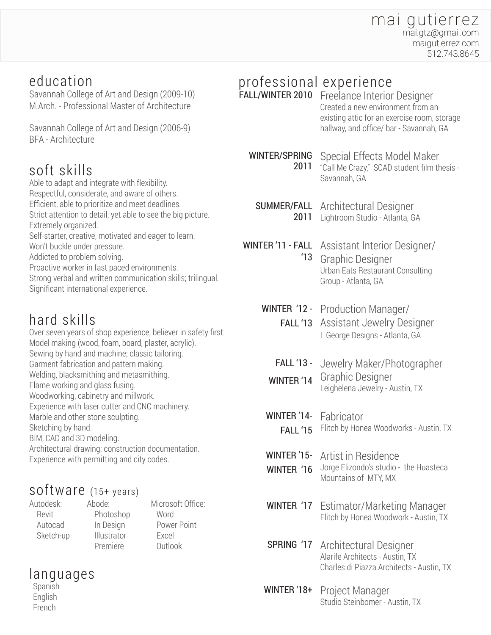#### mai gutierrez mai.gtz@gmail.com maigutierrez.com 512.743.8645

### education

Savannah College of Art and Design (2009-10) M.Arch. - Professional Master of Architecture

Savannah College of Art and Design (2006-9) BFA - Architecture

## soft skills

Able to adapt and integrate with flexibility. Respectful, considerate, and aware of others. Efficient, able to prioritize and meet deadlines. Strict attention to detail, yet able to see the big picture. Extremely organized. Self-starter, creative, motivated and eager to learn. Won't buckle under pressure. Addicted to problem solving. Proactive worker in fast paced environments. Strong verbal and written communication skills; trilingual. Significant international experience.

# hard skills

Over seven years of shop experience, believer in safety first. Model making (wood, foam, board, plaster, acrylic). Sewing by hand and machine; classic tailoring. Garment fabrication and pattern making. Welding, blacksmithing and metasmithing. Flame working and glass fusing. Woodworking, cabinetry and millwork. Experience with laser cutter and CNC machinery. Marble and other stone sculpting. Sketching by hand. BIM, CAD and 3D modeling. Architectural drawing; construction documentation. Experience with permitting and city codes.

## software (15+ years)

Autodesk: Revit Autocad Sketch-up Abode: Photoshop In Design **Illustrator** Premiere

Microsoft Office:

 Word Power Point Excel Outlook

# languages

 Spanish English French

# professional experience

FALL/WINTER 2010 Freelance Interior Designer Created a new environment from an existing attic for an exercise room, storage hallway, and office/ bar - Savannah, GA

WINTER/SPRING

Special Effects Model Maker 2011 "Call Me Crazy," SCAD student film thesis -

SUMMER/FALL Architectural Designer 2011 Lightroom Studio - Atlanta, GA

Savannah, GA

WINTER '11 - FALL Assistant Interior Designer/ Graphic Designer Urban Eats Restaurant Consulting Group - Atlanta, GA '13

**WINTER '12 - Production Manager/** 

FALL '13 Assistant Jewelry Designer L George Designs - Atlanta, GA

- Jewelry Maker/Photographer FALL '13 -
- Graphic Designer Leighelena Jewelry - Austin, TX WINTER '14
- **WINTER '14-** Fabricator **FALL '15** Flitch by Honea Woodworks - Austin, TX
- Artist in Residence WINTER '15-
- Jorge Elizondo's studio the Huasteca Mountains of MTY, MX WINTER '16
- WINTER '17 Estimator/Marketing Manager Flitch by Honea Woodwork - Austin, TX

**SPRING '17** Architectural Designer Alarife Architects - Austin, TX Charles di Piazza Architects - Austin, TX

Project Manager Studio Steinbomer - Austin, TX WINTER '18+